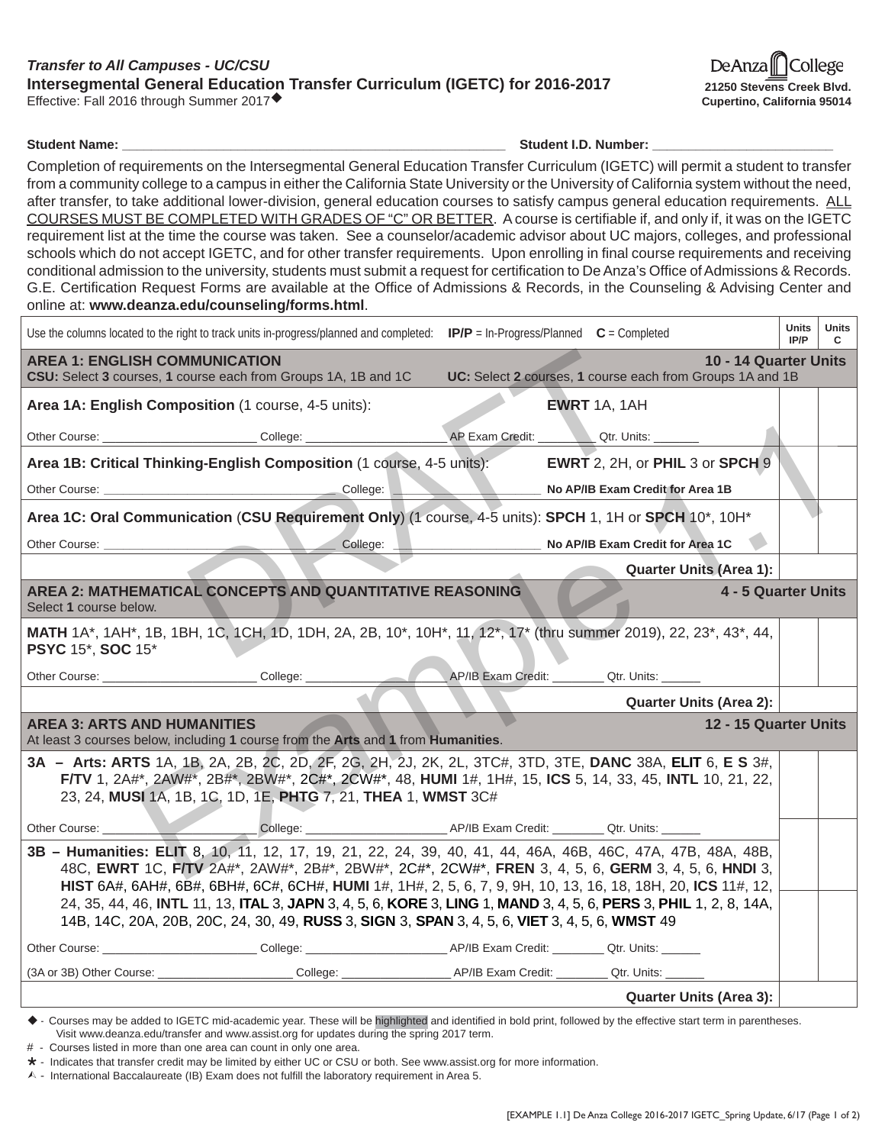## *Transfer to All Campuses - UC/CSU* **Intersegmental General Education Transfer Curriculum (IGETC) for 2016-2017** Effective: Fall 2016 through Summer 2017

De Anza College **21250 Stevens Creek Blvd. Cupertino, California 95014**

**Student Name: Contained Act 2012 12:00 Student I.D. Number: Contained Act 2013** 

Completion of requirements on the Intersegmental General Education Transfer Curriculum (IGETC) will permit a student to transfer from a community college to a campus in either the California State University or the University of California system without the need, after transfer, to take additional lower-division, general education courses to satisfy campus general education requirements. ALL COURSES MUST BE COMPLETED WITH GRADES OF "C" OR BETTER. A course is certifiable if, and only if, it was on the IGETC requirement list at the time the course was taken. See a counselor/academic advisor about UC majors, colleges, and professional schools which do not accept IGETC, and for other transfer requirements. Upon enrolling in final course requirements and receiving conditional admission to the university, students must submit a request for certification to De Anza's Office of Admissions & Records. G.E. Certification Request Forms are available at the Office of Admissions & Records, in the Counseling & Advising Center and online at: **www.deanza.edu/counseling/forms.html**.

| Use the columns located to the right to track units in-progress/planned and completed: $IP/P = \text{In-Progress/Planned } C = \text{Complete}$                                                                                                                                                                                                                                                                                                                                                                                                           | Units<br>IP/P | Units<br>C |  |  |  |  |
|-----------------------------------------------------------------------------------------------------------------------------------------------------------------------------------------------------------------------------------------------------------------------------------------------------------------------------------------------------------------------------------------------------------------------------------------------------------------------------------------------------------------------------------------------------------|---------------|------------|--|--|--|--|
| 10 - 14 Quarter Units<br><b>AREA 1: ENGLISH COMMUNICATION</b><br>UC: Select 2 courses, 1 course each from Groups 1A and 1B<br>CSU: Select 3 courses, 1 course each from Groups 1A, 1B and 1C                                                                                                                                                                                                                                                                                                                                                              |               |            |  |  |  |  |
| Area 1A: English Composition (1 course, 4-5 units):<br><b>EWRT</b> 1A, 1AH                                                                                                                                                                                                                                                                                                                                                                                                                                                                                |               |            |  |  |  |  |
| Other Course: ________________________________College: _________________________<br>AP Exam Credit: Qtr. Units: ______                                                                                                                                                                                                                                                                                                                                                                                                                                    |               |            |  |  |  |  |
| Area 1B: Critical Thinking-English Composition (1 course, 4-5 units): EWRT 2, 2H, or PHIL 3 or SPCH 9                                                                                                                                                                                                                                                                                                                                                                                                                                                     |               |            |  |  |  |  |
| No AP/IB Exam Credit for Area 1B                                                                                                                                                                                                                                                                                                                                                                                                                                                                                                                          |               |            |  |  |  |  |
| Area 1C: Oral Communication (CSU Requirement Only) (1 course, 4-5 units): SPCH 1, 1H or SPCH 10*, 10H*                                                                                                                                                                                                                                                                                                                                                                                                                                                    |               |            |  |  |  |  |
| College:<br>No AP/IB Exam Credit for Area 1C                                                                                                                                                                                                                                                                                                                                                                                                                                                                                                              |               |            |  |  |  |  |
| <b>Quarter Units (Area 1):</b>                                                                                                                                                                                                                                                                                                                                                                                                                                                                                                                            |               |            |  |  |  |  |
| AREA 2: MATHEMATICAL CONCEPTS AND QUANTITATIVE REASONING<br>4 - 5 Quarter Units<br>Select 1 course below.                                                                                                                                                                                                                                                                                                                                                                                                                                                 |               |            |  |  |  |  |
| MATH 1A*, 1AH*, 1B, 1BH, 1C, 1CH, 1D, 1DH, 2A, 2B, 10*, 10H*, 11, 12*, 17* (thru summer 2019), 22, 23*, 43*, 44,<br><b>PSYC 15*, SOC 15*</b>                                                                                                                                                                                                                                                                                                                                                                                                              |               |            |  |  |  |  |
| Other Course: ________________________________College: _________________________<br>AP/IB Exam Credit: Qtr. Units: _____                                                                                                                                                                                                                                                                                                                                                                                                                                  |               |            |  |  |  |  |
| <b>Quarter Units (Area 2):</b>                                                                                                                                                                                                                                                                                                                                                                                                                                                                                                                            |               |            |  |  |  |  |
| <b>AREA 3: ARTS AND HUMANITIES</b><br>12 - 15 Quarter Units<br>At least 3 courses below, including 1 course from the Arts and 1 from Humanities.                                                                                                                                                                                                                                                                                                                                                                                                          |               |            |  |  |  |  |
| 3A - Arts: ARTS 1A, 1B, 2A, 2B, 2C, 2D, 2F, 2G, 2H, 2J, 2K, 2L, 3TC#, 3TD, 3TE, DANC 38A, ELIT 6, E S 3#,<br>F/TV 1, 2A#*, 2AW#*, 2B#*, 2BW#*, 2C#*, 2CW#*, 48, HUMI 1#, 1H#, 15, ICS 5, 14, 33, 45, INTL 10, 21, 22,<br>23, 24, MUSI 1A, 1B, 1C, 1D, 1E, PHTG 7, 21, THEA 1, WMST 3C#                                                                                                                                                                                                                                                                    |               |            |  |  |  |  |
| College: College: College: College: College: College: College: College: College: College: College: College: College: College: College: College: College: College: College: College: College: College: College: College: Colleg<br>Other Course: _________                                                                                                                                                                                                                                                                                                 |               |            |  |  |  |  |
| 3B - Humanities: ELIT 8, 10, 11, 12, 17, 19, 21, 22, 24, 39, 40, 41, 44, 46A, 46B, 46C, 47A, 47B, 48A, 48B,<br>48C, EWRT 1C, FITV 2A#*, 2AW#*, 2B#*, 2BW#*, 2C#*, 2CW#*, FREN 3, 4, 5, 6, GERM 3, 4, 5, 6, HNDI 3,<br>HIST 6A#, 6AH#, 6B#, 6BH#, 6C#, 6CH#, HUMI 1#, 1H#, 2, 5, 6, 7, 9, 9H, 10, 13, 16, 18, 18H, 20, ICS 11#, 12,<br>24, 35, 44, 46, INTL 11, 13, ITAL 3, JAPN 3, 4, 5, 6, KORE 3, LING 1, MAND 3, 4, 5, 6, PERS 3, PHIL 1, 2, 8, 14A,<br>14B, 14C, 20A, 20B, 20C, 24, 30, 49, RUSS 3, SIGN 3, SPAN 3, 4, 5, 6, VIET 3, 4, 5, 6, WMST 49 |               |            |  |  |  |  |
| Other Course: College: College: College: AP/IB Exam Credit: Course: Qtr. Units:                                                                                                                                                                                                                                                                                                                                                                                                                                                                           |               |            |  |  |  |  |
|                                                                                                                                                                                                                                                                                                                                                                                                                                                                                                                                                           |               |            |  |  |  |  |
| <b>Quarter Units (Area 3):</b>                                                                                                                                                                                                                                                                                                                                                                                                                                                                                                                            |               |            |  |  |  |  |

- Courses may be added to IGETC mid-academic year. These will be highlighted and identified in bold print, followed by the effective start term in parentheses. Visit www.deanza.edu/transfer and www.assist.org for updates during the spring 2017 term.

# - Courses listed in more than one area can count in only one area.

 $\star$  - Indicates that transfer credit may be limited by either UC or CSU or both. See www.assist.org for more information.

 $\wedge$  - International Baccalaureate (IB) Exam does not fulfill the laboratory requirement in Area 5.